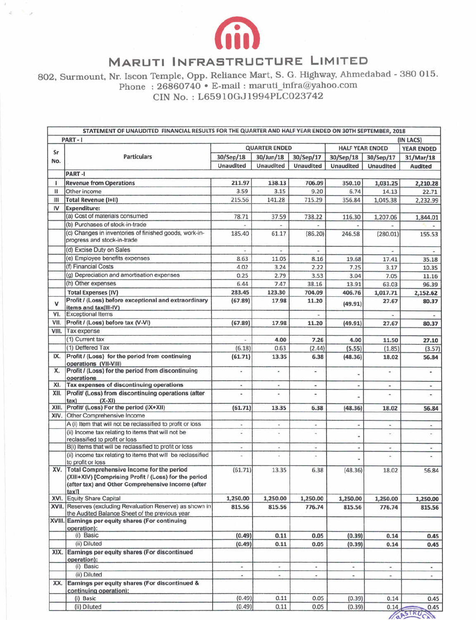

 $x=\frac{1}{2}+\frac{1}{2}$ 

## **MARUTI INFRASTRUCTURE LIMITED**

802, Surmount, Nr. Iscon Temple, Opp. Reliance Mart, S. G. Highway, Ahmedabad - 380 015. Phone : 26860740 • E-mail : maruti\_infra@yahoo.com

CIN No. : L65910GJ1994PLCO23742

|       | STATEMENT OF UNAUDITED FINANCIAL RESULTS FOR THE QUARTER AND HALF YEAR ENDED ON 30TH SEPTEMBER, 2018                                                                           |                          |                          |                          |                        |                          |                         |
|-------|--------------------------------------------------------------------------------------------------------------------------------------------------------------------------------|--------------------------|--------------------------|--------------------------|------------------------|--------------------------|-------------------------|
|       | PART-1                                                                                                                                                                         |                          |                          |                          |                        |                          | (IN LACS)               |
| Sr    |                                                                                                                                                                                | <b>QUARTER ENDED</b>     |                          |                          | <b>HALF YEAR ENDED</b> |                          | <b>YEAR ENDED</b>       |
| No.   | <b>Particulars</b>                                                                                                                                                             | 30/Sep/18                | 30/Jun/18                | 30/Sep/17                | 30/Sep/18              | 30/Sep/17                | 31/Mar/18               |
|       |                                                                                                                                                                                | <b>Unaudited</b>         | <b>Unaudited</b>         | Unaudited                | <b>Unaudited</b>       | <b>Unaudited</b>         | <b>Audited</b>          |
|       | PART-I                                                                                                                                                                         |                          |                          |                          |                        |                          |                         |
| 1     | <b>Revenue from Operations</b>                                                                                                                                                 | 211.97                   | 138.13                   | 706.09                   | 350.10                 | 1,031.25                 | 2,210.28                |
| Ш     | Other income                                                                                                                                                                   | 3.59                     | 3.15                     | 9.20                     | 6.74                   | 14.13                    | 22.71                   |
| Ш     | <b>Total Revenue (I+II)</b>                                                                                                                                                    | 215.56                   | 141.28                   | 715.29                   | 356.84                 | 1,045.38                 | 2,232.99                |
| IV    | <b>Expenditure:</b>                                                                                                                                                            |                          |                          |                          |                        |                          |                         |
|       | (a) Cost of materials consumed                                                                                                                                                 | 78.71                    | 37.59                    | 738.22                   | 116.30                 | 1,207.06                 | 1,844.01                |
|       | (b) Purchases of stock-in-trade                                                                                                                                                |                          |                          |                          |                        |                          |                         |
|       | (c) Changes in inventories of finished goods, work-in-<br>progress and stock-in-trade                                                                                          | 185.40                   | 61.17                    | (86.20)                  | 246.58                 | (280.01)                 | 155.53                  |
|       | (d) Excise Duty on Sales                                                                                                                                                       |                          |                          |                          |                        |                          |                         |
|       | (e) Employee benefits expenses                                                                                                                                                 | 8.63                     | 11.05                    | 8.16                     | 19.68                  | 17.41                    | 35.18                   |
|       | (f) Financial Costs                                                                                                                                                            | 4.02                     | 3.24                     | 2.22                     | 7.25                   | 3.17                     | 10.35                   |
|       | (g) Depreciation and amortisation expenses                                                                                                                                     | 0.25                     | 2.79                     | 3.53                     | 3.04                   | 7.05                     | 11.16                   |
|       | (h) Other expenses                                                                                                                                                             | 6.44                     | 7.47                     | 38.16                    | 13.91                  | 63.03                    | 96.39                   |
|       | <b>Total Expenses (IV)</b>                                                                                                                                                     | 283.45                   | 123.30                   | 704.09                   | 406.76                 | 1,017.71                 | 2,152.62                |
| v     | Profit / (Loss) before exceptional and extraordinary                                                                                                                           | (67.89)                  | 17.98                    | 11.20                    | (49.91)                | 27.67                    | 80.37                   |
| VI.   | items and tax(III-IV)<br><b>Exceptional Items</b>                                                                                                                              |                          |                          |                          |                        |                          |                         |
| VII.  | Profit / (Loss) before tax (V-VI)                                                                                                                                              |                          | 17.98                    |                          |                        |                          |                         |
| VIII. | Tax expense                                                                                                                                                                    | (67.89)                  |                          | 11.20                    | (49.91)                | 27.67                    | 80.37                   |
|       | (1) Current tax                                                                                                                                                                | u,                       | 4.00                     | 7.26                     | 4.00                   | 11.50                    | 27.10                   |
|       | (1) Deffered Tax                                                                                                                                                               | (6.18)                   | 0.63                     | (2.44)                   | (5.55)                 | (1.85)                   | (3.57)                  |
| IX.   | Profit / (Loss) for the period from continuing                                                                                                                                 | (61.71)                  | 13.35                    | 6.38                     | (48.36)                | 18.02                    | 56.84                   |
| х.    | operations (VII-VIII)<br>Profit / (Loss) for the period from discontinuing                                                                                                     | u                        | $\overline{a}$           | ۷                        |                        | $\overline{\phantom{a}}$ | ۰                       |
|       | operations                                                                                                                                                                     |                          |                          |                          |                        |                          |                         |
| XI.   | Tax expenses of discontinuing operations                                                                                                                                       | $\overline{\phantom{a}}$ | $\overline{\phantom{a}}$ | $\overline{\phantom{a}}$ |                        | ۰                        | $\blacksquare$          |
| XII.  | Profit/ (Loss) from discontinuing operations (after<br>tax)<br>$(X-XI)$                                                                                                        | ä,                       |                          |                          |                        |                          |                         |
| XIII. | Profit/ (Loss) For the period (IX+XII)                                                                                                                                         | (61.71)                  | 13.35                    | 6.38                     | (48.36)                | 18.02                    | 56.84                   |
| XIV.  | Other Comprehensive Income                                                                                                                                                     |                          |                          |                          |                        |                          |                         |
|       | A (i) Item that will not be reclassified to profit or loss                                                                                                                     | $\overline{a}$           | ۰                        | ×                        |                        | $\scriptstyle\rm m$      | ٠                       |
|       | (ii) Income tax relating to items that will not be<br>reclassified to profit or loss                                                                                           |                          |                          |                          |                        |                          |                         |
|       | B(i) Items that will be reclassified to profit or loss                                                                                                                         |                          |                          | $\overline{\phantom{a}}$ |                        | $\overline{\phantom{a}}$ | ×,                      |
|       | (ii) income tax relating to items that will be reclassified<br>to profit or loss                                                                                               | $\overline{\phantom{a}}$ | ×                        | $\overline{\phantom{a}}$ |                        |                          |                         |
| XV.   | Total Comprehensive Income for the period<br>(XIII+XIV) [Comprising Profit / (Loss) for the period<br>(after tax) and Other Comprehensive Income (after<br>$tax$ <sup>11</sup> | (61.71)                  | 13.35                    | 6.38                     | (48.36)                | 18.02                    | 56.84                   |
|       | XVI. Equity Share Capital                                                                                                                                                      | 1,250.00                 | 1,250.00                 | 1,250.00                 | 1,250.00               | 1,250.00                 | 1,250.00                |
|       | XVII. Reserves (excluding Revaluation Reserve) as shown in<br>the Audited Balance Sheet of the previous year                                                                   | 815.56                   | 815.56                   | 776.74                   | 815.56                 | 776.74                   | 815.56                  |
|       | XVIII. Earnings per equity shares (For continuing<br>operation):                                                                                                               |                          |                          |                          |                        |                          |                         |
|       | (i) Basic                                                                                                                                                                      | (0.49)                   | 0.11                     | 0.05                     | (0.39)                 | 0.14                     | 0.45                    |
|       | (ii) Diluted                                                                                                                                                                   | (0.49)                   | 0.11                     | 0.05                     | (0.39)                 | 0.14                     | 0.45                    |
| XIX.  | Earnings per equity shares (For discontinued<br>operation):                                                                                                                    |                          |                          |                          |                        |                          |                         |
|       | (i) Basic                                                                                                                                                                      | $\overline{\phantom{a}}$ | $\overline{\phantom{a}}$ | $\blacksquare$           | $\bullet$              | $\sim$                   | $\omega_{\rm c}$        |
|       | (ii) Diluted                                                                                                                                                                   | ٠                        | $\overline{\phantom{a}}$ | $\overline{\phantom{a}}$ | $\sim$                 | $\sim$                   | $\bullet$ :             |
| XX.   | Earnings per equity shares (For discontinued &<br>continuing operation):                                                                                                       |                          |                          |                          |                        |                          |                         |
|       | (i) Basic                                                                                                                                                                      | (0.49)                   | 0.11                     | 0.05                     | (0.39)                 | 0.14                     | 0.45                    |
|       | (ii) Diluted                                                                                                                                                                   | (0.49)                   | 0.11                     | 0.05                     | (0.39)                 | 0.14                     | 0.45                    |
|       |                                                                                                                                                                                |                          |                          |                          |                        |                          | CASTRU<br>$C_{\lambda}$ |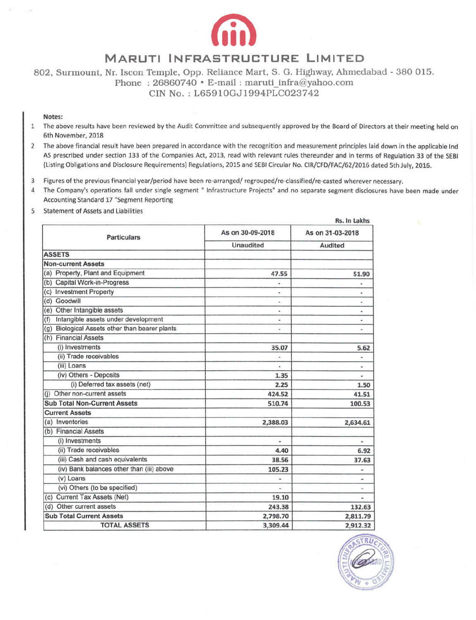

## **MARUTI INFRASTRUCTURE LIMITED**

802, Surmount, Nr. Iscon Temple, Opp. Reliance Mart, S. G. Highway, Ahmedabad - 380 015. Phone:  $26860740 \cdot E$ -mail: maruti infra@yahoo.com

CIN No. L65910GJ1994PLCO23742

## Notes:

- 1 The above results have been reviewed by the Audit Committee and subsequently approved by the Board of Directors at their meeting held on 6th November, 2018
- 2 The above financial result have been prepared in accordance with the recognition and measurement principles laid down in the applicable Ind AS prescribed under section 133 of the Companies Act, 2013, read with relevant rules thereunder and in terms of Regulation 33 of the SEBI (Listing Obligations and Disclosure Requirements) Regulations, 2015 and SEBI Circular No. CIR/CFD/FAC/62/2016 dated 5th July, 2016.
- 3 Figures of the previous financial year/period have been re-arranged/ regrouped/re-classified/re-casted wherever necessary.
- 4 The Company's operations fall under single segment " Infrastructure Projects" and no separate segment disclosures have been made under Accounting Standard 17 'Segment Reporting
- 5 Statement of Assets and Liabilities

| <b>Particulars</b>                             | As on 30-09-2018         | As on 31-03-2018<br><b>Audited</b> |  |
|------------------------------------------------|--------------------------|------------------------------------|--|
|                                                | Unaudited                |                                    |  |
| <b>ASSETS</b>                                  |                          |                                    |  |
| <b>Non-current Assets</b>                      |                          |                                    |  |
| (a) Property, Plant and Equipment              | 47.55                    | 51.90                              |  |
| (b) Capital Work-in-Progress                   |                          |                                    |  |
| (c) Investment Property                        |                          | $\blacksquare$                     |  |
| (d) Goodwill                                   | $\overline{\phantom{a}}$ | $\blacksquare$                     |  |
| (e) Other Intangible assets                    |                          | $\blacksquare$                     |  |
| Intangible assets under development<br>(f)     | ۰                        | $\blacksquare$                     |  |
| (g) Biological Assets other than bearer plants | ÷                        |                                    |  |
| (h) Financial Assets                           |                          |                                    |  |
| (i) Investments                                | 35.07                    | 5.62                               |  |
| (ii) Trade receivables                         | $\overline{\phantom{a}}$ | ۰                                  |  |
| (iii) Loans                                    | ٠                        |                                    |  |
| (iv) Others - Deposits                         | 1.35                     |                                    |  |
| (i) Deferred tax assets (net)                  | 2.25                     | 1.50                               |  |
| Other non-current assets                       | 424.52                   | 41.51                              |  |
| <b>Sub Total Non-Current Assets</b>            | 510.74                   | 100.53                             |  |
| <b>Current Assets</b>                          |                          |                                    |  |
| (a) Inventories                                | 2,388.03                 | 2,634.61                           |  |
| (b) Financial Assets                           |                          |                                    |  |
| (i) Investments                                | a,                       |                                    |  |
| (ii) Trade receivables                         | 4.40                     | 6.92                               |  |
| (iii) Cash and cash equivalents                | 38.56                    | 37.63                              |  |
| (iv) Bank balances other than (iii) above      | 105.23                   | ÷                                  |  |
| (v) Loans                                      |                          | $\frac{1}{2}$                      |  |
| (vi) Others (to be specified)                  |                          | $\frac{1}{2}$                      |  |
| (c) Current Tax Assets (Net)                   | 19.10                    |                                    |  |
| (d) Other current assets                       | 243.38                   | 132.63                             |  |
| <b>Sub Total Current Assets</b>                | 2,798.70                 | 2,811.79                           |  |
| <b>TOTAL ASSETS</b>                            | 3,309.44                 | 2,912.32                           |  |

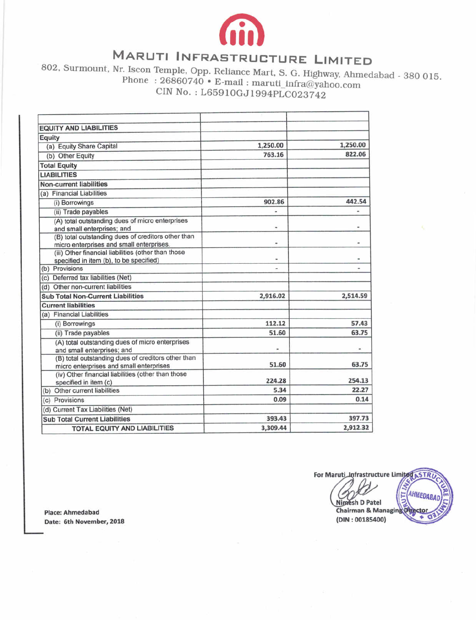

## MARUTI INFRASTRUCTURE LIMITED

802, Surmount, Nr. Iscon Temple, Opp. Reliance Mart, S. G. Highway, Ahmedabad - 380 015. Phone :  $26860740 \cdot E$ -mail : maruti\_infra@yahoo.com CIN No. : L6591OGJ1994pLCO23742

| <b>EQUITY AND LIABILITIES</b>                                                                  |          |          |
|------------------------------------------------------------------------------------------------|----------|----------|
| Equity                                                                                         |          |          |
| (a) Equity Share Capital                                                                       | 1,250.00 | 1,250.00 |
| (b) Other Equity                                                                               | 763.16   | 822.06   |
| <b>Total Equity</b>                                                                            |          |          |
| <b>LIABILITIES</b>                                                                             |          |          |
| <b>Non-current liabilities</b>                                                                 |          |          |
| (a) Financial Liabilities                                                                      |          |          |
| (i) Borrowings                                                                                 | 902.86   | 442.54   |
| (ii) Trade payables                                                                            |          |          |
| (A) total outstanding dues of micro enterprises<br>and small enterprises; and                  | u.       |          |
| (B) total outstanding dues of creditors other than<br>micro enterprises and small enterprises. | ٠        | ۰        |
| (iii) Other financial liabilities (other than those<br>specified in item (b), to be specified) |          |          |
| (b) Provisions                                                                                 | ۰        |          |
| (c) Deferred tax liabilities (Net)                                                             |          |          |
| (d) Other non-current liabilities                                                              |          |          |
| <b>Sub Total Non-Current Liabilities</b>                                                       | 2,916.02 | 2,514.59 |
| <b>Current liabilities</b>                                                                     |          |          |
| (a) Financial Liabilities                                                                      |          |          |
| (i) Borrowings                                                                                 | 112.12   | 57.43    |
| (ii) Trade payables                                                                            | 51.60    | 63.75    |
| (A) total outstanding dues of micro enterprises<br>and small enterprises; and                  |          |          |
| (B) total outstanding dues of creditors other than<br>micro enterprises and small enterprises  | 51.60    | 63.75    |
| (iv) Other financial liabilities (other than those<br>specified in item (c)                    | 224.28   | 254.13   |
| (b) Other current liabilities                                                                  | 5.34     | 22.27    |
| (c) Provisions                                                                                 | 0.09     | 0.14     |
| (d) Current Tax Liabilities (Net)                                                              |          |          |
| <b>Sub Total Current Liabilities</b>                                                           | 393.43   | 397.73   |
| <b>TOTAL EQUITY AND LIABILITIES</b>                                                            | 3,309.44 | 2,912.32 |

**Place: Ahmedabad Date: 6th November, 2018** 

**For Maruti Infrastructure Limited ASTR** aruti Infrastructure Limited **ASTRUCTURE CONTRACTER**<br>
Nimesh D Patel<br>
Chairman & Managing Orgetor **(DIN** : **00185400)**